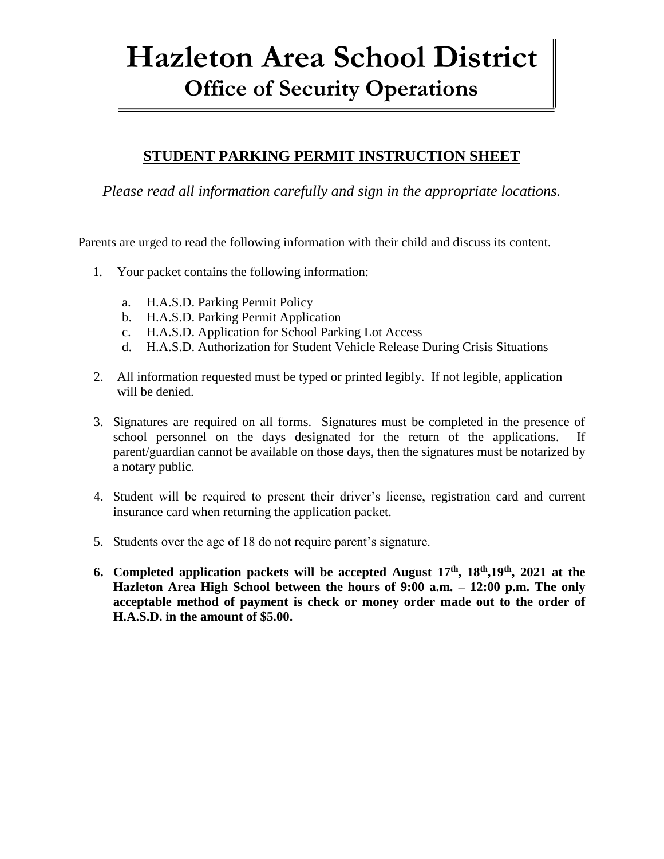#### **STUDENT PARKING PERMIT INSTRUCTION SHEET**

*Please read all information carefully and sign in the appropriate locations.*

Parents are urged to read the following information with their child and discuss its content.

- 1. Your packet contains the following information:
	- a. H.A.S.D. Parking Permit Policy
	- b. H.A.S.D. Parking Permit Application
	- c. H.A.S.D. Application for School Parking Lot Access
	- d. H.A.S.D. Authorization for Student Vehicle Release During Crisis Situations
- 2. All information requested must be typed or printed legibly. If not legible, application will be denied.
- 3. Signatures are required on all forms. Signatures must be completed in the presence of school personnel on the days designated for the return of the applications. If parent/guardian cannot be available on those days, then the signatures must be notarized by a notary public.
- 4. Student will be required to present their driver's license, registration card and current insurance card when returning the application packet.
- 5. Students over the age of 18 do not require parent's signature.
- **6. Completed application packets will be accepted August 17th , 18th,19th , 2021 at the Hazleton Area High School between the hours of 9:00 a.m. – 12:00 p.m. The only acceptable method of payment is check or money order made out to the order of H.A.S.D. in the amount of \$5.00.**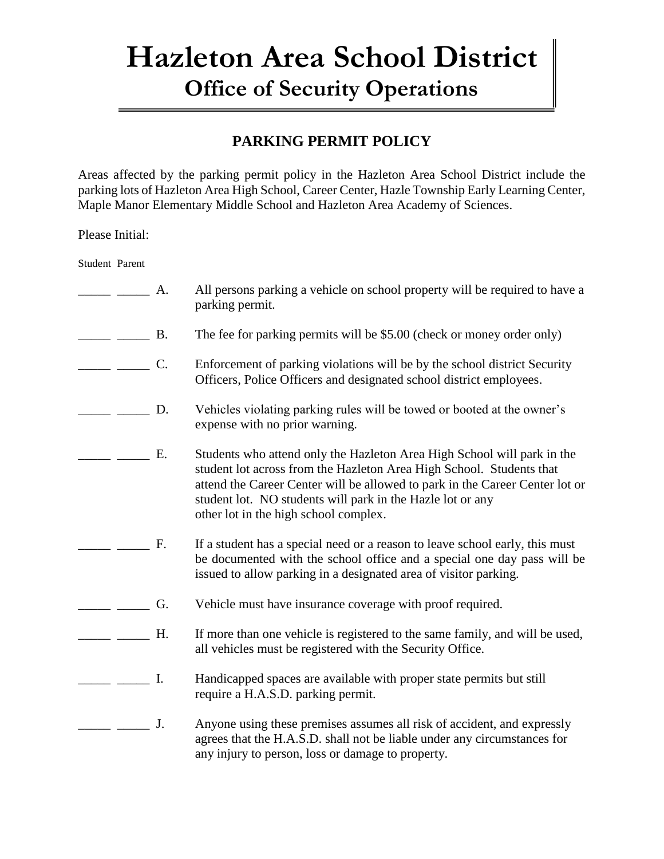### **PARKING PERMIT POLICY**

Areas affected by the parking permit policy in the Hazleton Area School District include the parking lots of Hazleton Area High School, Career Center, Hazle Township Early Learning Center, Maple Manor Elementary Middle School and Hazleton Area Academy of Sciences.

Please Initial:

Student Parent

- $\frac{1}{1}$  A. All persons parking a vehicle on school property will be required to have a parking permit.
- B. The fee for parking permits will be \$5.00 (check or money order only)
- \_\_\_\_\_ \_\_\_\_\_ C. Enforcement of parking violations will be by the school district Security Officers, Police Officers and designated school district employees.
- \_\_\_\_\_ \_\_\_\_\_ D. Vehicles violating parking rules will be towed or booted at the owner's expense with no prior warning.
	- **E.** Students who attend only the Hazleton Area High School will park in the student lot across from the Hazleton Area High School. Students that attend the Career Center will be allowed to park in the Career Center lot or student lot. NO students will park in the Hazle lot or any other lot in the high school complex.
- **EXECUTE:** If a student has a special need or a reason to leave school early, this must be documented with the school office and a special one day pass will be issued to allow parking in a designated area of visitor parking.
- **EXECUTE:** G. Vehicle must have insurance coverage with proof required.
- $\Box$  H. If more than one vehicle is registered to the same family, and will be used, all vehicles must be registered with the Security Office.
- **EXECUTE:** I. Handicapped spaces are available with proper state permits but still require a H.A.S.D. parking permit.
- **EXECUTE:** J. Anyone using these premises assumes all risk of accident, and expressly agrees that the H.A.S.D. shall not be liable under any circumstances for any injury to person, loss or damage to property.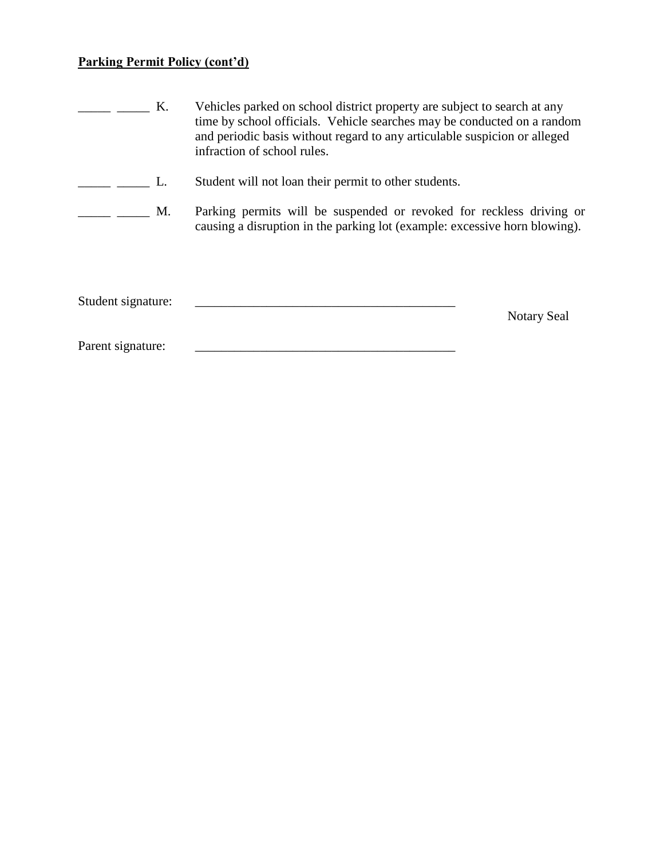#### **Parking Permit Policy (cont'd)**

| Κ.                 | Vehicles parked on school district property are subject to search at any<br>time by school officials. Vehicle searches may be conducted on a random<br>and periodic basis without regard to any articulable suspicion or alleged<br>infraction of school rules. |
|--------------------|-----------------------------------------------------------------------------------------------------------------------------------------------------------------------------------------------------------------------------------------------------------------|
| L.                 | Student will not loan their permit to other students.                                                                                                                                                                                                           |
| M.                 | Parking permits will be suspended or revoked for reckless driving or<br>causing a disruption in the parking lot (example: excessive horn blowing).                                                                                                              |
| Student signature: | <b>Notary Seal</b>                                                                                                                                                                                                                                              |
| Parent signature:  |                                                                                                                                                                                                                                                                 |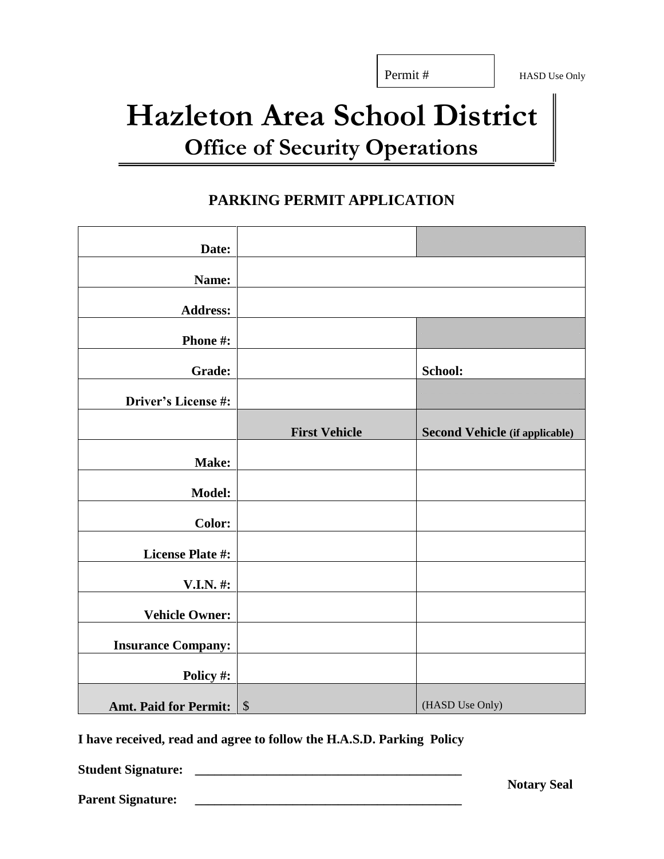### **PARKING PERMIT APPLICATION**

| Date:                        |                      |                                       |
|------------------------------|----------------------|---------------------------------------|
|                              |                      |                                       |
| Name:                        |                      |                                       |
| <b>Address:</b>              |                      |                                       |
| Phone #:                     |                      |                                       |
| Grade:                       |                      | School:                               |
| Driver's License #:          |                      |                                       |
|                              | <b>First Vehicle</b> | <b>Second Vehicle (if applicable)</b> |
| Make:                        |                      |                                       |
| Model:                       |                      |                                       |
| <b>Color:</b>                |                      |                                       |
| <b>License Plate #:</b>      |                      |                                       |
| V.I.N. #:                    |                      |                                       |
| <b>Vehicle Owner:</b>        |                      |                                       |
| <b>Insurance Company:</b>    |                      |                                       |
| Policy #:                    |                      |                                       |
| <b>Amt. Paid for Permit:</b> | $\$\,$               | (HASD Use Only)                       |

**I have received, read and agree to follow the H.A.S.D. Parking Policy**

**Student Signature: \_\_\_\_\_\_\_\_\_\_\_\_\_\_\_\_\_\_\_\_\_\_\_\_\_\_\_\_\_\_\_\_\_\_\_\_\_\_\_\_\_**

**Parent Signature: \_\_\_\_\_\_\_\_\_\_\_\_\_\_\_\_\_\_\_\_\_\_\_\_\_\_\_\_\_\_\_\_\_\_\_\_\_\_\_\_\_**

**Notary Seal**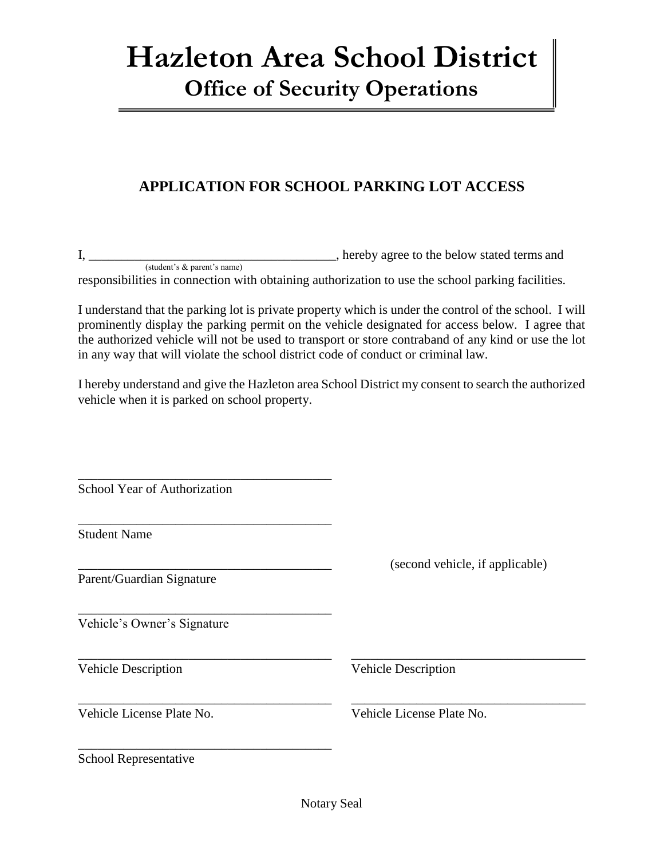### **APPLICATION FOR SCHOOL PARKING LOT ACCESS**

I, \_\_\_\_\_\_\_\_\_\_\_\_\_\_\_\_\_\_\_\_\_\_\_\_\_\_\_\_\_\_\_\_\_\_\_\_\_\_, hereby agree to the below stated terms and (student's & parent's name)

responsibilities in connection with obtaining authorization to use the school parking facilities.

I understand that the parking lot is private property which is under the control of the school. I will prominently display the parking permit on the vehicle designated for access below. I agree that the authorized vehicle will not be used to transport or store contraband of any kind or use the lot in any way that will violate the school district code of conduct or criminal law.

I hereby understand and give the Hazleton area School District my consent to search the authorized vehicle when it is parked on school property.

\_\_\_\_\_\_\_\_\_\_\_\_\_\_\_\_\_\_\_\_\_\_\_\_\_\_\_\_\_\_\_\_\_\_\_\_\_\_\_ School Year of Authorization

\_\_\_\_\_\_\_\_\_\_\_\_\_\_\_\_\_\_\_\_\_\_\_\_\_\_\_\_\_\_\_\_\_\_\_\_\_\_\_

\_\_\_\_\_\_\_\_\_\_\_\_\_\_\_\_\_\_\_\_\_\_\_\_\_\_\_\_\_\_\_\_\_\_\_\_\_\_\_

\_\_\_\_\_\_\_\_\_\_\_\_\_\_\_\_\_\_\_\_\_\_\_\_\_\_\_\_\_\_\_\_\_\_\_\_\_\_\_

Student Name

Parent/Guardian Signature

Vehicle's Owner's Signature

Vehicle Description Vehicle Description

\_\_\_\_\_\_\_\_\_\_\_\_\_\_\_\_\_\_\_\_\_\_\_\_\_\_\_\_\_\_\_\_\_\_\_\_\_\_\_ \_\_\_\_\_\_\_\_\_\_\_\_\_\_\_\_\_\_\_\_\_\_\_\_\_\_\_\_\_\_\_\_\_\_\_\_

Vehicle License Plate No. Vehicle License Plate No.

\_\_\_\_\_\_\_\_\_\_\_\_\_\_\_\_\_\_\_\_\_\_\_\_\_\_\_\_\_\_\_\_\_\_\_\_\_\_\_ (second vehicle, if applicable)

School Representative

\_\_\_\_\_\_\_\_\_\_\_\_\_\_\_\_\_\_\_\_\_\_\_\_\_\_\_\_\_\_\_\_\_\_\_\_\_\_\_ \_\_\_\_\_\_\_\_\_\_\_\_\_\_\_\_\_\_\_\_\_\_\_\_\_\_\_\_\_\_\_\_\_\_\_\_